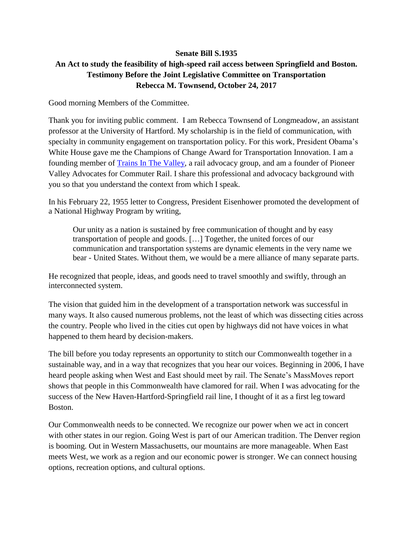## **Senate Bill S.1935 An Act to study the feasibility of high-speed rail access between Springfield and Boston. Testimony Before the Joint Legislative Committee on Transportation Rebecca M. Townsend, October 24, 2017**

Good morning Members of the Committee.

Thank you for inviting public comment. I am Rebecca Townsend of Longmeadow, an assistant professor at the University of Hartford. My scholarship is in the field of communication, with specialty in community engagement on transportation policy. For this work, President Obama's White House gave me the Champions of Change Award for Transportation Innovation. I am a founding member of [Trains In The Valley,](https://trainsinthevalley.org/) a rail advocacy group, and am a founder of Pioneer Valley Advocates for Commuter Rail. I share this professional and advocacy background with you so that you understand the context from which I speak.

In his February 22, 1955 letter to Congress, President Eisenhower promoted the development of a National Highway Program by writing,

Our unity as a nation is sustained by free communication of thought and by easy transportation of people and goods. […] Together, the united forces of our communication and transportation systems are dynamic elements in the very name we bear - United States. Without them, we would be a mere alliance of many separate parts.

He recognized that people, ideas, and goods need to travel smoothly and swiftly, through an interconnected system.

The vision that guided him in the development of a transportation network was successful in many ways. It also caused numerous problems, not the least of which was dissecting cities across the country. People who lived in the cities cut open by highways did not have voices in what happened to them heard by decision-makers.

The bill before you today represents an opportunity to stitch our Commonwealth together in a sustainable way, and in a way that recognizes that you hear our voices. Beginning in 2006, I have heard people asking when West and East should meet by rail. The Senate's MassMoves report shows that people in this Commonwealth have clamored for rail. When I was advocating for the success of the New Haven-Hartford-Springfield rail line, I thought of it as a first leg toward Boston.

Our Commonwealth needs to be connected. We recognize our power when we act in concert with other states in our region. Going West is part of our American tradition. The Denver region is booming. Out in Western Massachusetts, our mountains are more manageable. When East meets West, we work as a region and our economic power is stronger. We can connect housing options, recreation options, and cultural options.